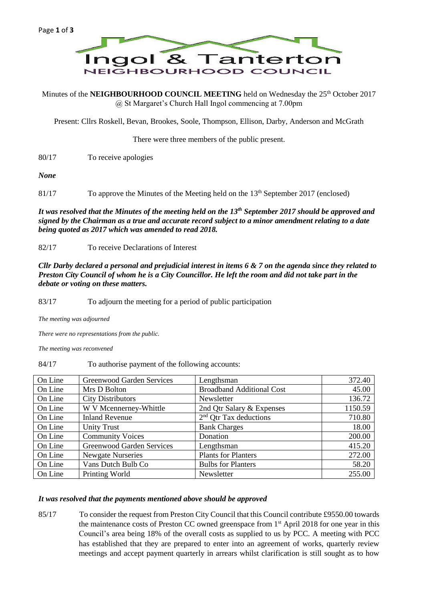

Minutes of the **NEIGHBOURHOOD COUNCIL MEETING** held on Wednesday the 25<sup>th</sup> October 2017 @ St Margaret's Church Hall Ingol commencing at 7.00pm

Present: Cllrs Roskell, Bevan, Brookes, Soole, Thompson, Ellison, Darby, Anderson and McGrath

There were three members of the public present.

80/17 To receive apologies

*None*

81/17 To approve the Minutes of the Meeting held on the 13<sup>th</sup> September 2017 (enclosed)

*It was resolved that the Minutes of the meeting held on the 13th September 2017 should be approved and signed by the Chairman as a true and accurate record subject to a minor amendment relating to a date being quoted as 2017 which was amended to read 2018.*

82/17 To receive Declarations of Interest

*Cllr Darby declared a personal and prejudicial interest in items 6 & 7 on the agenda since they related to Preston City Council of whom he is a City Councillor. He left the room and did not take part in the debate or voting on these matters.* 

83/17 To adjourn the meeting for a period of public participation

*The meeting was adjourned*

*There were no representations from the public.*

*The meeting was reconvened*

84/17 To authorise payment of the following accounts:

| On Line | <b>Greenwood Garden Services</b> | Lengthsman                       | 372.40  |
|---------|----------------------------------|----------------------------------|---------|
| On Line | Mrs D Bolton                     | <b>Broadband Additional Cost</b> | 45.00   |
| On Line | <b>City Distributors</b>         | Newsletter                       | 136.72  |
| On Line | W V Mcennerney-Whittle           | 2nd Qtr Salary & Expenses        | 1150.59 |
| On Line | <b>Inland Revenue</b>            | $2nd$ Qtr Tax deductions         | 710.80  |
| On Line | <b>Unity Trust</b>               | <b>Bank Charges</b>              | 18.00   |
| On Line | <b>Community Voices</b>          | Donation                         | 200.00  |
| On Line | <b>Greenwood Garden Services</b> | Lengthsman                       | 415.20  |
| On Line | <b>Newgate Nurseries</b>         | <b>Plants for Planters</b>       | 272.00  |
| On Line | Vans Dutch Bulb Co               | <b>Bulbs for Planters</b>        | 58.20   |
| On Line | Printing World                   | Newsletter                       | 255.00  |

## *It was resolved that the payments mentioned above should be approved*

85/17 To consider the request from Preston City Council that this Council contribute £9550.00 towards the maintenance costs of Preston CC owned greenspace from 1<sup>st</sup> April 2018 for one year in this Council's area being 18% of the overall costs as supplied to us by PCC. A meeting with PCC has established that they are prepared to enter into an agreement of works, quarterly review meetings and accept payment quarterly in arrears whilst clarification is still sought as to how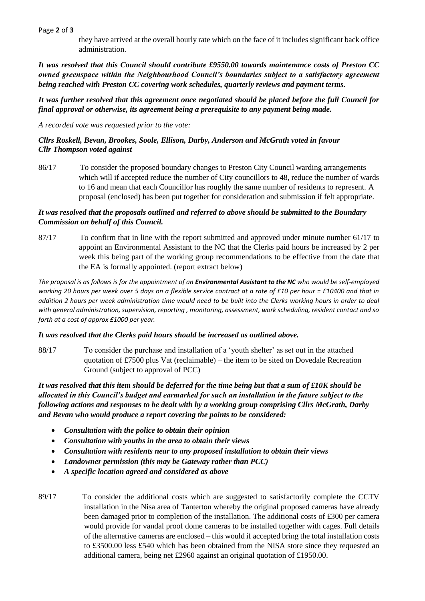#### Page **2** of **3**

they have arrived at the overall hourly rate which on the face of it includes significant back office administration.

*It was resolved that this Council should contribute £9550.00 towards maintenance costs of Preston CC owned greenspace within the Neighbourhood Council's boundaries subject to a satisfactory agreement being reached with Preston CC covering work schedules, quarterly reviews and payment terms.* 

*It was further resolved that this agreement once negotiated should be placed before the full Council for final approval or otherwise, its agreement being a prerequisite to any payment being made.*

*A recorded vote was requested prior to the vote:*

## *Cllrs Roskell, Bevan, Brookes, Soole, Ellison, Darby, Anderson and McGrath voted in favour Cllr Thompson voted against*

86/17 To consider the proposed boundary changes to Preston City Council warding arrangements which will if accepted reduce the number of City councillors to 48, reduce the number of wards to 16 and mean that each Councillor has roughly the same number of residents to represent. A proposal (enclosed) has been put together for consideration and submission if felt appropriate.

## *It was resolved that the proposals outlined and referred to above should be submitted to the Boundary Commission on behalf of this Council.*

87/17 To confirm that in line with the report submitted and approved under minute number 61/17 to appoint an Environmental Assistant to the NC that the Clerks paid hours be increased by 2 per week this being part of the working group recommendations to be effective from the date that the EA is formally appointed. (report extract below)

*The proposal is as follows is for the appointment of an Environmental Assistant to the NC who would be self-employed working 20 hours per week over 5 days on a flexible service contract at a rate of £10 per hour = £10400 and that in addition 2 hours per week administration time would need to be built into the Clerks working hours in order to deal with general administration, supervision, reporting , monitoring, assessment, work scheduling, resident contact and so forth at a cost of approx £1000 per year.*

#### *It was resolved that the Clerks paid hours should be increased as outlined above.*

88/17 To consider the purchase and installation of a 'youth shelter' as set out in the attached quotation of £7500 plus Vat (reclaimable) – the item to be sited on Dovedale Recreation Ground (subject to approval of PCC)

*It was resolved that this item should be deferred for the time being but that a sum of £10K should be allocated in this Council's budget and earmarked for such an installation in the future subject to the following actions and responses to be dealt with by a working group comprising Cllrs McGrath, Darby and Bevan who would produce a report covering the points to be considered:*

- *Consultation with the police to obtain their opinion*
- *Consultation with youths in the area to obtain their views*
- *Consultation with residents near to any proposed installation to obtain their views*
- *Landowner permission (this may be Gateway rather than PCC)*
- *A specific location agreed and considered as above*
- 89/17 To consider the additional costs which are suggested to satisfactorily complete the CCTV installation in the Nisa area of Tanterton whereby the original proposed cameras have already been damaged prior to completion of the installation. The additional costs of £300 per camera would provide for vandal proof dome cameras to be installed together with cages. Full details of the alternative cameras are enclosed – this would if accepted bring the total installation costs to £3500.00 less £540 which has been obtained from the NISA store since they requested an additional camera, being net £2960 against an original quotation of £1950.00.